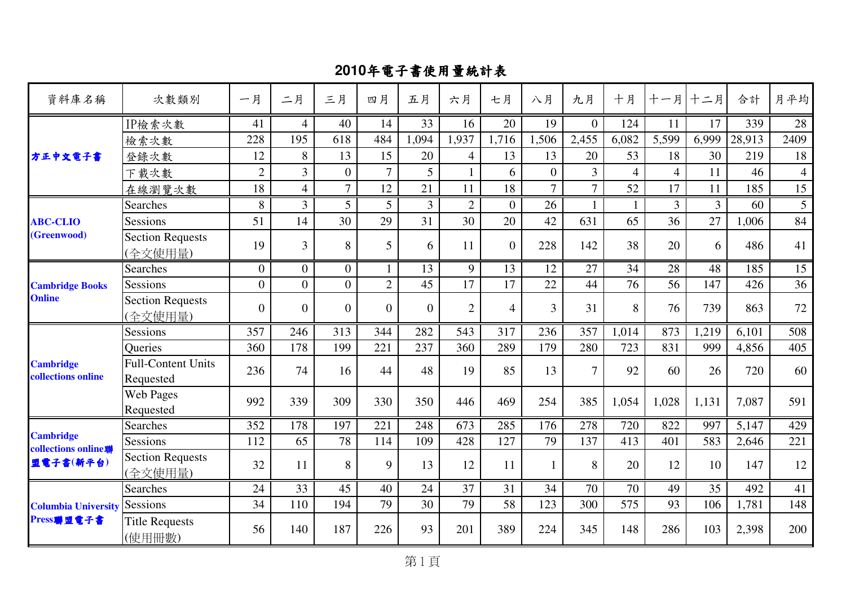| 資料庫名稱                                           | 次數類別                                   | 一月               | 二月               | 三月               | 四月             | 五月             | 六月             | 七月             | 八月             | 九月             | 十月             | 十一月            | 十二月   | 合計     | 月平均            |
|-------------------------------------------------|----------------------------------------|------------------|------------------|------------------|----------------|----------------|----------------|----------------|----------------|----------------|----------------|----------------|-------|--------|----------------|
|                                                 | IP檢索次數                                 | 41               | $\overline{4}$   | 40               | 14             | 33             | 16             | 20             | 19             | $\overline{0}$ | 124            | 11             | 17    | 339    | 28             |
|                                                 | 檢索次數                                   | 228              | 195              | 618              | 484            | 1,094          | 1,937          | 1,716          | 1,506          | 2,455          | 6,082          | 5,599          | 6,999 | 28,913 | 2409           |
| 方正中文電子書                                         | 登錄次數                                   | 12               | 8                | 13               | 15             | 20             | 4              | 13             | 13             | 20             | 53             | 18             | 30    | 219    | 18             |
|                                                 | 下載次數                                   | $\overline{2}$   | $\overline{3}$   | $\mathbf{0}$     | $\overline{7}$ | 5              | $\mathbf{1}$   | 6              | $\overline{0}$ | $\overline{3}$ | $\overline{4}$ | $\overline{4}$ | 11    | 46     | $\overline{4}$ |
|                                                 | 在線瀏覽次數                                 | 18               | $\overline{4}$   | $\overline{7}$   | 12             | 21             | 11             | 18             | $\overline{7}$ | $\overline{7}$ | 52             | 17             | 11    | 185    | 15             |
|                                                 | Searches                               | 8                | $\overline{3}$   | 5                | 5              | $\overline{3}$ | $\overline{2}$ | $\overline{0}$ | 26             |                | $\mathbf{1}$   | 3              | 3     | 60     | 5              |
| <b>ABC-CLIO</b>                                 | <b>Sessions</b>                        | 51               | 14               | 30               | 29             | 31             | 30             | 20             | 42             | 631            | 65             | 36             | 27    | 1,006  | 84             |
| (Greenwood)                                     | <b>Section Requests</b><br>(全文使用量)     | 19               | 3                | 8                | 5              | 6              | 11             | $\overline{0}$ | 228            | 142            | 38             | 20             | 6     | 486    | 41             |
| <b>Cambridge Books</b><br><b>Online</b>         | Searches                               | $\boldsymbol{0}$ | $\boldsymbol{0}$ | $\mathbf{0}$     | $\mathbf{1}$   | 13             | 9              | 13             | 12             | 27             | 34             | 28             | 48    | 185    | 15             |
|                                                 | Sessions                               | $\boldsymbol{0}$ | $\overline{0}$   | $\boldsymbol{0}$ | $\overline{2}$ | 45             | 17             | 17             | 22             | 44             | 76             | 56             | 147   | 426    | 36             |
|                                                 | <b>Section Requests</b><br>(全文使用量)     | $\boldsymbol{0}$ | $\overline{0}$   | $\boldsymbol{0}$ | $\theta$       | $\overline{0}$ | $\overline{2}$ | $\overline{4}$ | 3              | 31             | 8              | 76             | 739   | 863    | 72             |
|                                                 | Sessions                               | 357              | 246              | 313              | 344            | 282            | 543            | 317            | 236            | 357            | 1,014          | 873            | 1,219 | 6,101  | 508            |
|                                                 | Queries                                | 360              | 178              | 199              | 221            | 237            | 360            | 289            | 179            | 280            | 723            | 831            | 999   | 4,856  | 405            |
| <b>Cambridge</b><br>collections online          | <b>Full-Content Units</b><br>Requested | 236              | 74               | 16               | 44             | 48             | 19             | 85             | 13             | $\overline{7}$ | 92             | 60             | 26    | 720    | 60             |
|                                                 | <b>Web Pages</b><br>Requested          | 992              | 339              | 309              | 330            | 350            | 446            | 469            | 254            | 385            | 1,054          | 1,028          | 1,131 | 7,087  | 591            |
|                                                 | <b>Searches</b>                        | 352              | 178              | 197              | 221            | 248            | 673            | 285            | 176            | 278            | 720            | 822            | 997   | 5,147  | 429            |
| <b>Cambridge</b><br>collections online <b>聯</b> | <b>Sessions</b>                        | 112              | 65               | 78               | 114            | 109            | 428            | 127            | 79             | 137            | 413            | 401            | 583   | 2,646  | 221            |
| 盟電子書(新平台)                                       | <b>Section Requests</b><br>(全文使用量)     | 32               | 11               | 8                | 9              | 13             | 12             | 11             | 1              | 8              | 20             | 12             | 10    | 147    | 12             |
| <b>Columbia University</b><br>Press聯盟電子書        | <b>Searches</b>                        | 24               | 33               | 45               | 40             | 24             | 37             | 31             | 34             | 70             | 70             | 49             | 35    | 492    | 41             |
|                                                 | Sessions                               | 34               | 110              | 194              | 79             | 30             | 79             | 58             | 123            | 300            | 575            | 93             | 106   | 1,781  | 148            |
|                                                 | <b>Title Requests</b><br>(使用冊數)        | 56               | 140              | 187              | 226            | 93             | 201            | 389            | 224            | 345            | 148            | 286            | 103   | 2,398  | 200            |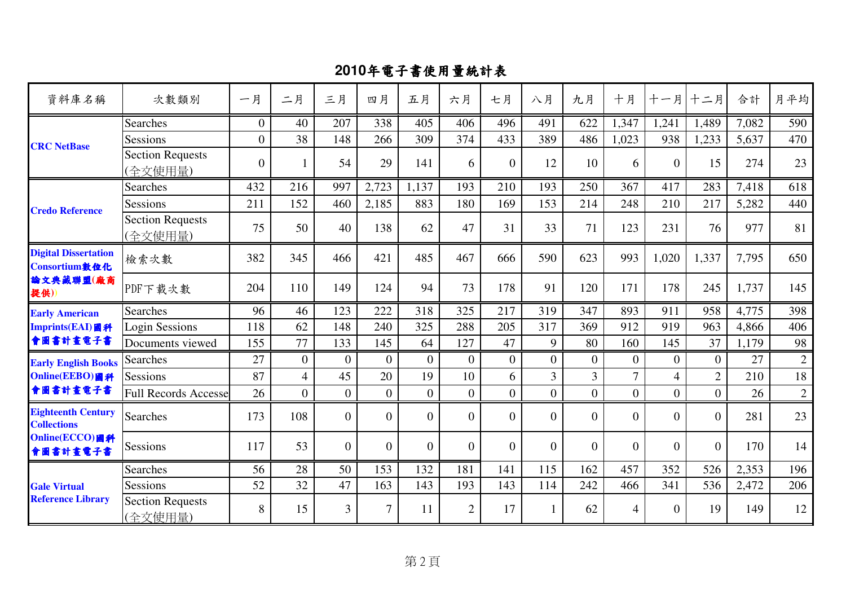| 資料庫名稱                                           | 次數類別                               | 一月               | 二月               | 三月               | 四月               | 五月               | 六月             | 七月               | 八月             | 九月             | 十月             | 十一月              | 十二月            | 合計    | 月平均          |
|-------------------------------------------------|------------------------------------|------------------|------------------|------------------|------------------|------------------|----------------|------------------|----------------|----------------|----------------|------------------|----------------|-------|--------------|
|                                                 | <b>Searches</b>                    | $\mathbf{0}$     | 40               | 207              | 338              | 405              | 406            | 496              | 491            | 622            | 1,347          | 1,241            | 1,489          | 7,082 | 590          |
| <b>CRC</b> NetBase                              | Sessions                           | $\boldsymbol{0}$ | 38               | 148              | 266              | 309              | 374            | 433              | 389            | 486            | 1,023          | 938              | 1,233          | 5,637 | 470          |
|                                                 | <b>Section Requests</b><br>(全文使用量) | $\overline{0}$   |                  | 54               | 29               | 141              | 6              | $\mathbf{0}$     | 12             | 10             | 6              | $\overline{0}$   | 15             | 274   | 23           |
|                                                 | <b>Searches</b>                    | 432              | 216              | 997              | 2,723            | 1,137            | 193            | 210              | 193            | 250            | 367            | 417              | 283            | 7,418 | 618          |
| <b>Credo Reference</b>                          | <b>Sessions</b>                    | 211              | 152              | 460              | 2,185            | 883              | 180            | 169              | 153            | 214            | 248            | 210              | 217            | 5,282 | 440          |
|                                                 | <b>Section Requests</b><br>(全文使用量) | 75               | 50               | 40               | 138              | 62               | 47             | 31               | 33             | 71             | 123            | 231              | 76             | 977   | 81           |
| <b>Digital Dissertation</b><br>Consortium敦位化    | 檢索次數                               | 382              | 345              | 466              | 421              | 485              | 467            | 666              | 590            | 623            | 993            | 1,020            | 1,337          | 7,795 | 650          |
| 論文典藏聯盟(廠商<br>提供))                               | PDF下載次數                            | 204              | 110              | 149              | 124              | 94               | 73             | 178              | 91             | 120            | 171            | 178              | 245            | 1,737 | 145          |
| <b>Early American</b>                           | <b>Searches</b>                    | 96               | 46               | 123              | 222              | 318              | 325            | 217              | 319            | 347            | 893            | 911              | 958            | 4,775 | 398          |
| Imprints(EAI)圖科                                 | <b>Login Sessions</b>              | 118              | 62               | 148              | 240              | 325              | 288            | 205              | 317            | 369            | 912            | 919              | 963            | 4,866 | 406          |
| 會圖書計畫電子書                                        | Documents viewed                   | 155              | 77               | 133              | 145              | 64               | 127            | 47               | 9              | 80             | 160            | 145              | 37             | 1,179 | 98           |
| <b>Early English Books</b>                      | Searches                           | 27               | $\boldsymbol{0}$ | $\mathbf{0}$     | $\boldsymbol{0}$ | $\boldsymbol{0}$ | $\mathbf{0}$   | $\boldsymbol{0}$ | $\overline{0}$ | $\mathbf{0}$   | $\overline{0}$ | $\boldsymbol{0}$ | $\overline{0}$ | 27    | $\sqrt{2}$   |
| Online(EEBO)國科                                  | Sessions                           | 87               | $\overline{4}$   | 45               | 20               | 19               | 10             | 6                | $\overline{3}$ | $\overline{3}$ | $\overline{7}$ | $\overline{4}$   | $\overline{2}$ | 210   | 18           |
| 會圖書計畫電子書                                        | <b>Full Records Accesse</b>        | 26               | $\overline{0}$   | $\boldsymbol{0}$ | $\overline{0}$   | $\boldsymbol{0}$ | $\overline{0}$ | $\overline{0}$   | $\overline{0}$ | $\overline{0}$ | $\overline{0}$ | $\overline{0}$   | $\overline{0}$ | 26    | $\mathbf{2}$ |
| <b>Eighteenth Century</b><br><b>Collections</b> | Searches                           | 173              | 108              | $\theta$         | $\overline{0}$   | $\boldsymbol{0}$ | $\overline{0}$ | $\overline{0}$   | $\overline{0}$ | $\Omega$       | $\overline{0}$ | $\Omega$         | $\theta$       | 281   | 23           |
| Online(ECCO)圖科<br>會圖書計畫電子書                      | <b>Sessions</b>                    | 117              | 53               | $\theta$         | $\mathbf{0}$     | $\boldsymbol{0}$ | $\overline{0}$ | $\overline{0}$   | $\overline{0}$ | $\theta$       | $\overline{0}$ | $\theta$         | $\theta$       | 170   | 14           |
|                                                 | <b>Searches</b>                    | 56               | 28               | 50               | 153              | 132              | 181            | 141              | 115            | 162            | 457            | 352              | 526            | 2,353 | 196          |
| <b>Gale Virtual</b>                             | Sessions                           | 52               | 32               | 47               | 163              | 143              | 193            | 143              | 114            | 242            | 466            | 341              | 536            | 2,472 | 206          |
| <b>Reference Library</b>                        | <b>Section Requests</b><br>(全文使用量) | 8                | 15               | $\overline{3}$   | 7                | 11               | $\overline{2}$ | 17               | 1              | 62             | $\overline{4}$ | $\Omega$         | 19             | 149   | 12           |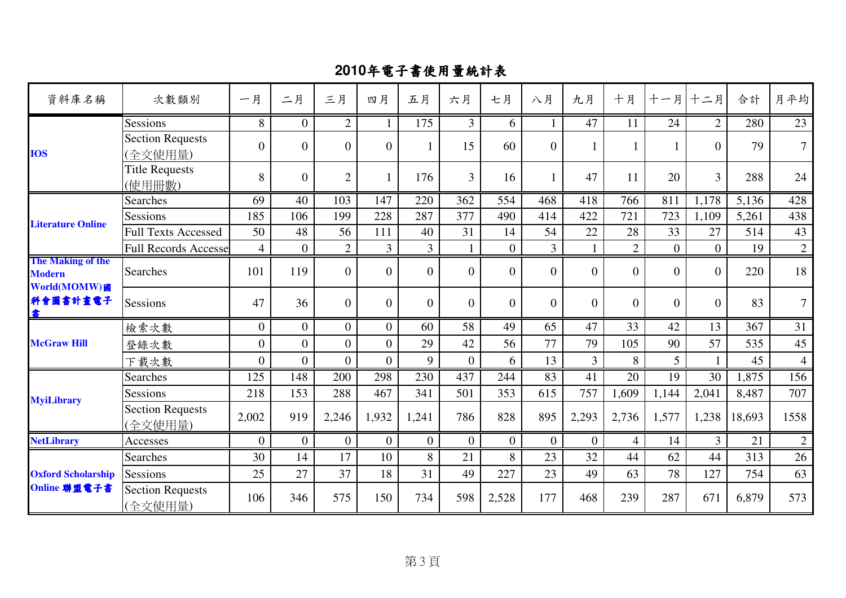| 資料庫名稱                                              | 次數類別                               | 一月               | 二月               | 三月               | 四月               | 五月               | 六月             | 七月               | 八月             | 九月             | 十月             | 十一月            | 十二月            | 合計     | 月平均            |
|----------------------------------------------------|------------------------------------|------------------|------------------|------------------|------------------|------------------|----------------|------------------|----------------|----------------|----------------|----------------|----------------|--------|----------------|
| <b>IOS</b>                                         | Sessions                           | 8                | $\mathbf{0}$     | $\overline{2}$   | $\mathbf{1}$     | 175              | $\overline{3}$ | 6                | $\mathbf{1}$   | 47             | 11             | 24             | $\overline{2}$ | 280    | 23             |
|                                                    | <b>Section Requests</b><br>(全文使用量) | $\overline{0}$   | $\boldsymbol{0}$ | $\boldsymbol{0}$ | $\mathbf{0}$     | 1                | 15             | 60               | $\overline{0}$ |                |                |                | $\theta$       | 79     | $\overline{7}$ |
|                                                    | <b>Title Requests</b><br>(使用冊數)    | 8                | $\overline{0}$   | $\mathfrak{2}$   | $\mathbf{1}$     | 176              | $\overline{3}$ | 16               | 1              | 47             | 11             | 20             | $\overline{3}$ | 288    | 24             |
|                                                    | Searches                           | 69               | 40               | 103              | 147              | 220              | 362            | 554              | 468            | 418            | 766            | 811            | 1,178          | 5,136  | 428            |
| <b>Literature Online</b>                           | Sessions                           | 185              | 106              | 199              | 228              | 287              | 377            | 490              | 414            | 422            | 721            | 723            | 1,109          | 5,261  | 438            |
|                                                    | <b>Full Texts Accessed</b>         | 50               | 48               | 56               | 111              | 40               | 31             | 14               | 54             | 22             | 28             | 33             | 27             | 514    | 43             |
|                                                    | <b>Full Records Accesse</b>        | $\overline{4}$   | $\boldsymbol{0}$ | $\sqrt{2}$       | $\overline{3}$   | $\overline{3}$   |                | $\boldsymbol{0}$ | $\overline{3}$ |                | $\overline{2}$ | $\overline{0}$ | $\overline{0}$ | 19     | $\overline{2}$ |
| The Making of the<br><b>Modern</b><br>World(MOMW)國 | <b>Searches</b>                    | 101              | 119              | $\theta$         | $\theta$         | $\overline{0}$   | $\Omega$       | $\overline{0}$   | $\overline{0}$ | $\Omega$       | $\overline{0}$ | $\Omega$       | $\theta$       | 220    | 18             |
| 科會圖書計畫電子<br>書                                      | Sessions                           | 47               | 36               | $\overline{0}$   | $\overline{0}$   | $\boldsymbol{0}$ | $\overline{0}$ | $\overline{0}$   | $\overline{0}$ | $\Omega$       | $\overline{0}$ | $\Omega$       | $\theta$       | 83     | $\overline{7}$ |
|                                                    | 檢索次數                               | $\overline{0}$   | $\overline{0}$   | $\overline{0}$   | $\overline{0}$   | 60               | 58             | 49               | 65             | 47             | 33             | 42             | 13             | 367    | 31             |
| <b>McGraw Hill</b>                                 | 登錄次數                               | $\boldsymbol{0}$ | $\boldsymbol{0}$ | $\boldsymbol{0}$ | $\overline{0}$   | 29               | 42             | 56               | 77             | 79             | 105            | 90             | 57             | 535    | 45             |
|                                                    | 下載次數                               | $\overline{0}$   | $\boldsymbol{0}$ | $\mathbf{0}$     | $\overline{0}$   | 9                | $\mathbf{0}$   | 6                | 13             | $\overline{3}$ | 8              | 5              |                | 45     | $\overline{4}$ |
|                                                    | Searches                           | 125              | 148              | 200              | 298              | 230              | 437            | 244              | 83             | 41             | 20             | 19             | 30             | 1,875  | 156            |
|                                                    | <b>Sessions</b>                    | 218              | 153              | 288              | 467              | 341              | 501            | 353              | 615            | 757            | 1,609          | 1,144          | 2,041          | 8,487  | 707            |
| <b>MyiLibrary</b>                                  | <b>Section Requests</b><br>(全文使用量) | 2,002            | 919              | 2,246            | 1,932            | 1,241            | 786            | 828              | 895            | 2,293          | 2,736          | 1,577          | 1,238          | 18,693 | 1558           |
| <b>NetLibrary</b>                                  | Accesses                           | $\boldsymbol{0}$ | $\boldsymbol{0}$ | $\boldsymbol{0}$ | $\boldsymbol{0}$ | $\boldsymbol{0}$ | $\mathbf{0}$   | $\overline{0}$   | $\overline{0}$ | $\overline{0}$ | $\overline{4}$ | 14             | $\overline{3}$ | 21     | $\overline{2}$ |
|                                                    | Searches                           | 30               | 14               | 17               | 10               | 8                | 21             | 8                | 23             | 32             | 44             | 62             | 44             | 313    | 26             |
| <b>Oxford Scholarship</b>                          | Sessions                           | 25               | 27               | 37               | 18               | 31               | 49             | 227              | 23             | 49             | 63             | 78             | 127            | 754    | 63             |
| Online 聯盟電子書                                       | <b>Section Requests</b><br>(全文使用量) | 106              | 346              | 575              | 150              | 734              | 598            | 2,528            | 177            | 468            | 239            | 287            | 671            | 6,879  | 573            |